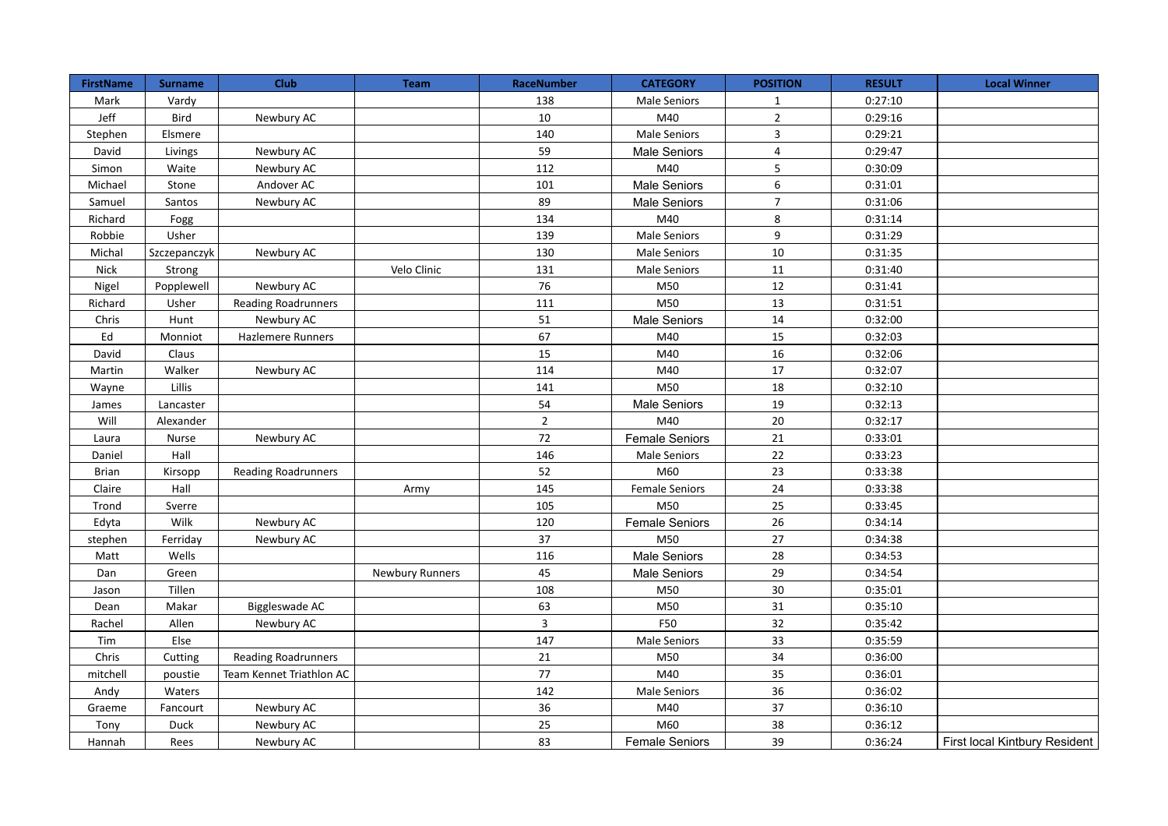| <b>FirstName</b> | <b>Surname</b> | <b>Club</b>                | <b>Team</b>            | RaceNumber     | <b>CATEGORY</b>       | <b>POSITION</b> | <b>RESULT</b> | <b>Local Winner</b>           |
|------------------|----------------|----------------------------|------------------------|----------------|-----------------------|-----------------|---------------|-------------------------------|
| Mark             | Vardy          |                            |                        | 138            | <b>Male Seniors</b>   | $1\,$           | 0:27:10       |                               |
| Jeff             | Bird           | Newbury AC                 |                        | 10             | M40                   | $\overline{2}$  | 0:29:16       |                               |
| Stephen          | Elsmere        |                            |                        | 140            | <b>Male Seniors</b>   | $\overline{3}$  | 0:29:21       |                               |
| David            | Livings        | Newbury AC                 |                        | 59             | Male Seniors          | $\overline{4}$  | 0:29:47       |                               |
| Simon            | Waite          | Newbury AC                 |                        | 112            | M40                   | 5               | 0:30:09       |                               |
| Michael          | Stone          | Andover AC                 |                        | 101            | Male Seniors          | 6               | 0:31:01       |                               |
| Samuel           | Santos         | Newbury AC                 |                        | 89             | <b>Male Seniors</b>   | $\overline{7}$  | 0:31:06       |                               |
| Richard          | Fogg           |                            |                        | 134            | M40                   | 8               | 0:31:14       |                               |
| Robbie           | Usher          |                            |                        | 139            | Male Seniors          | 9               | 0:31:29       |                               |
| Michal           | Szczepanczyk   | Newbury AC                 |                        | 130            | <b>Male Seniors</b>   | 10              | 0:31:35       |                               |
| Nick             | Strong         |                            | Velo Clinic            | 131            | <b>Male Seniors</b>   | 11              | 0:31:40       |                               |
| Nigel            | Popplewell     | Newbury AC                 |                        | 76             | M50                   | 12              | 0:31:41       |                               |
| Richard          | Usher          | <b>Reading Roadrunners</b> |                        | 111            | M50                   | 13              | 0:31:51       |                               |
| Chris            | Hunt           | Newbury AC                 |                        | 51             | Male Seniors          | 14              | 0:32:00       |                               |
| Ed               | Monniot        | Hazlemere Runners          |                        | 67             | M40                   | 15              | 0:32:03       |                               |
| David            | Claus          |                            |                        | 15             | M40                   | 16              | 0:32:06       |                               |
| Martin           | Walker         | Newbury AC                 |                        | 114            | M40                   | 17              | 0:32:07       |                               |
| Wayne            | Lillis         |                            |                        | 141            | M50                   | 18              | 0:32:10       |                               |
| James            | Lancaster      |                            |                        | 54             | Male Seniors          | 19              | 0:32:13       |                               |
| Will             | Alexander      |                            |                        | $\overline{2}$ | M40                   | 20              | 0:32:17       |                               |
| Laura            | Nurse          | Newbury AC                 |                        | 72             | <b>Female Seniors</b> | 21              | 0:33:01       |                               |
| Daniel           | Hall           |                            |                        | 146            | <b>Male Seniors</b>   | 22              | 0:33:23       |                               |
| <b>Brian</b>     | Kirsopp        | <b>Reading Roadrunners</b> |                        | 52             | M60                   | 23              | 0:33:38       |                               |
| Claire           | Hall           |                            | Army                   | 145            | <b>Female Seniors</b> | 24              | 0:33:38       |                               |
| Trond            | Sverre         |                            |                        | 105            | M50                   | 25              | 0:33:45       |                               |
| Edyta            | Wilk           | Newbury AC                 |                        | 120            | <b>Female Seniors</b> | 26              | 0:34:14       |                               |
| stephen          | Ferriday       | Newbury AC                 |                        | 37             | M50                   | 27              | 0:34:38       |                               |
| Matt             | Wells          |                            |                        | 116            | Male Seniors          | 28              | 0:34:53       |                               |
| Dan              | Green          |                            | <b>Newbury Runners</b> | 45             | <b>Male Seniors</b>   | 29              | 0:34:54       |                               |
| Jason            | Tillen         |                            |                        | 108            | M50                   | 30              | 0:35:01       |                               |
| Dean             | Makar          | Biggleswade AC             |                        | 63             | M50                   | 31              | 0:35:10       |                               |
| Rachel           | Allen          | Newbury AC                 |                        | $\overline{3}$ | F50                   | 32              | 0:35:42       |                               |
| Tim              | Else           |                            |                        | 147            | <b>Male Seniors</b>   | 33              | 0:35:59       |                               |
| Chris            | Cutting        | <b>Reading Roadrunners</b> |                        | 21             | M50                   | 34              | 0:36:00       |                               |
| mitchell         | poustie        | Team Kennet Triathlon AC   |                        | 77             | M40                   | 35              | 0:36:01       |                               |
| Andy             | Waters         |                            |                        | 142            | <b>Male Seniors</b>   | 36              | 0:36:02       |                               |
| Graeme           | Fancourt       | Newbury AC                 |                        | 36             | M40                   | 37              | 0:36:10       |                               |
| Tony             | Duck           | Newbury AC                 |                        | 25             | M60                   | 38              | 0:36:12       |                               |
| Hannah           | Rees           | Newbury AC                 |                        | 83             | <b>Female Seniors</b> | 39              | 0:36:24       | First local Kintbury Resident |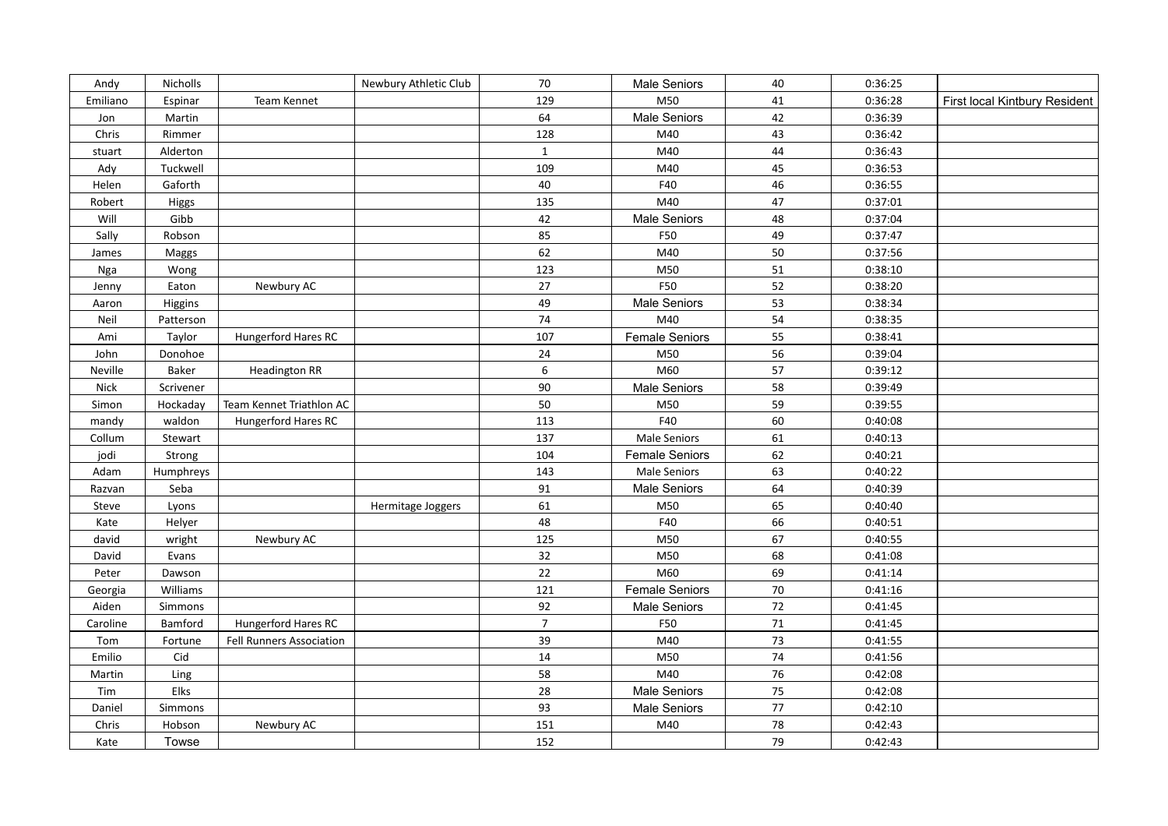| Andy     | Nicholls     |                                 | Newbury Athletic Club | 70             | <b>Male Seniors</b>   | 40      | 0:36:25 |                               |
|----------|--------------|---------------------------------|-----------------------|----------------|-----------------------|---------|---------|-------------------------------|
| Emiliano | Espinar      | Team Kennet                     |                       | 129            | M50                   | 41      | 0:36:28 | First local Kintbury Resident |
| Jon      | Martin       |                                 |                       | 64             | Male Seniors          | 42      | 0:36:39 |                               |
| Chris    | Rimmer       |                                 |                       | 128            | M40                   | 43      | 0:36:42 |                               |
| stuart   | Alderton     |                                 |                       | $\mathbf{1}$   | M40                   | 44      | 0:36:43 |                               |
| Ady      | Tuckwell     |                                 |                       | 109            | M40                   | 45      | 0:36:53 |                               |
| Helen    | Gaforth      |                                 |                       | 40             | F40                   | 46      | 0:36:55 |                               |
| Robert   | <b>Higgs</b> |                                 |                       | 135            | M40                   | 47      | 0:37:01 |                               |
| Will     | Gibb         |                                 |                       | 42             | Male Seniors          | 48      | 0:37:04 |                               |
| Sally    | Robson       |                                 |                       | 85             | F50                   | 49      | 0:37:47 |                               |
| James    | Maggs        |                                 |                       | 62             | M40                   | 50      | 0:37:56 |                               |
| Nga      | Wong         |                                 |                       | 123            | M50                   | 51      | 0:38:10 |                               |
| Jenny    | Eaton        | Newbury AC                      |                       | 27             | F50                   | 52      | 0:38:20 |                               |
| Aaron    | Higgins      |                                 |                       | 49             | Male Seniors          | 53      | 0:38:34 |                               |
| Neil     | Patterson    |                                 |                       | 74             | M40                   | 54      | 0:38:35 |                               |
| Ami      | Taylor       | Hungerford Hares RC             |                       | 107            | <b>Female Seniors</b> | 55      | 0:38:41 |                               |
| John     | Donohoe      |                                 |                       | 24             | M50                   | 56      | 0:39:04 |                               |
| Neville  | Baker        | <b>Headington RR</b>            |                       | 6              | M60                   | 57      | 0:39:12 |                               |
| Nick     | Scrivener    |                                 |                       | 90             | Male Seniors          | 58      | 0:39:49 |                               |
| Simon    | Hockaday     | Team Kennet Triathlon AC        |                       | 50             | M50                   | 59      | 0:39:55 |                               |
| mandy    | waldon       | Hungerford Hares RC             |                       | 113            | F40                   | 60      | 0:40:08 |                               |
| Collum   | Stewart      |                                 |                       | 137            | <b>Male Seniors</b>   | 61      | 0:40:13 |                               |
| jodi     | Strong       |                                 |                       | 104            | <b>Female Seniors</b> | 62      | 0:40:21 |                               |
| Adam     | Humphreys    |                                 |                       | 143            | <b>Male Seniors</b>   | 63      | 0:40:22 |                               |
| Razvan   | Seba         |                                 |                       | 91             | Male Seniors          | 64      | 0:40:39 |                               |
| Steve    | Lyons        |                                 | Hermitage Joggers     | 61             | M50                   | 65      | 0:40:40 |                               |
| Kate     | Helyer       |                                 |                       | 48             | F40                   | 66      | 0:40:51 |                               |
| david    | wright       | Newbury AC                      |                       | 125            | M50                   | 67      | 0:40:55 |                               |
| David    | Evans        |                                 |                       | 32             | M50                   | 68      | 0:41:08 |                               |
| Peter    | Dawson       |                                 |                       | 22             | M60                   | 69      | 0:41:14 |                               |
| Georgia  | Williams     |                                 |                       | 121            | <b>Female Seniors</b> | 70      | 0:41:16 |                               |
| Aiden    | Simmons      |                                 |                       | 92             | Male Seniors          | $72\,$  | 0:41:45 |                               |
| Caroline | Bamford      | Hungerford Hares RC             |                       | $\overline{7}$ | F50                   | 71      | 0:41:45 |                               |
| Tom      | Fortune      | <b>Fell Runners Association</b> |                       | 39             | M40                   | 73      | 0:41:55 |                               |
| Emilio   | Cid          |                                 |                       | 14             | M50                   | 74      | 0:41:56 |                               |
| Martin   | Ling         |                                 |                       | 58             | M40                   | 76      | 0:42:08 |                               |
| Tim      | Elks         |                                 |                       | 28             | Male Seniors          | 75      | 0:42:08 |                               |
| Daniel   | Simmons      |                                 |                       | 93             | Male Seniors          | $77 \,$ | 0:42:10 |                               |
| Chris    | Hobson       | Newbury AC                      |                       | 151            | M40                   | 78      | 0:42:43 |                               |
| Kate     | Towse        |                                 |                       | 152            |                       | 79      | 0:42:43 |                               |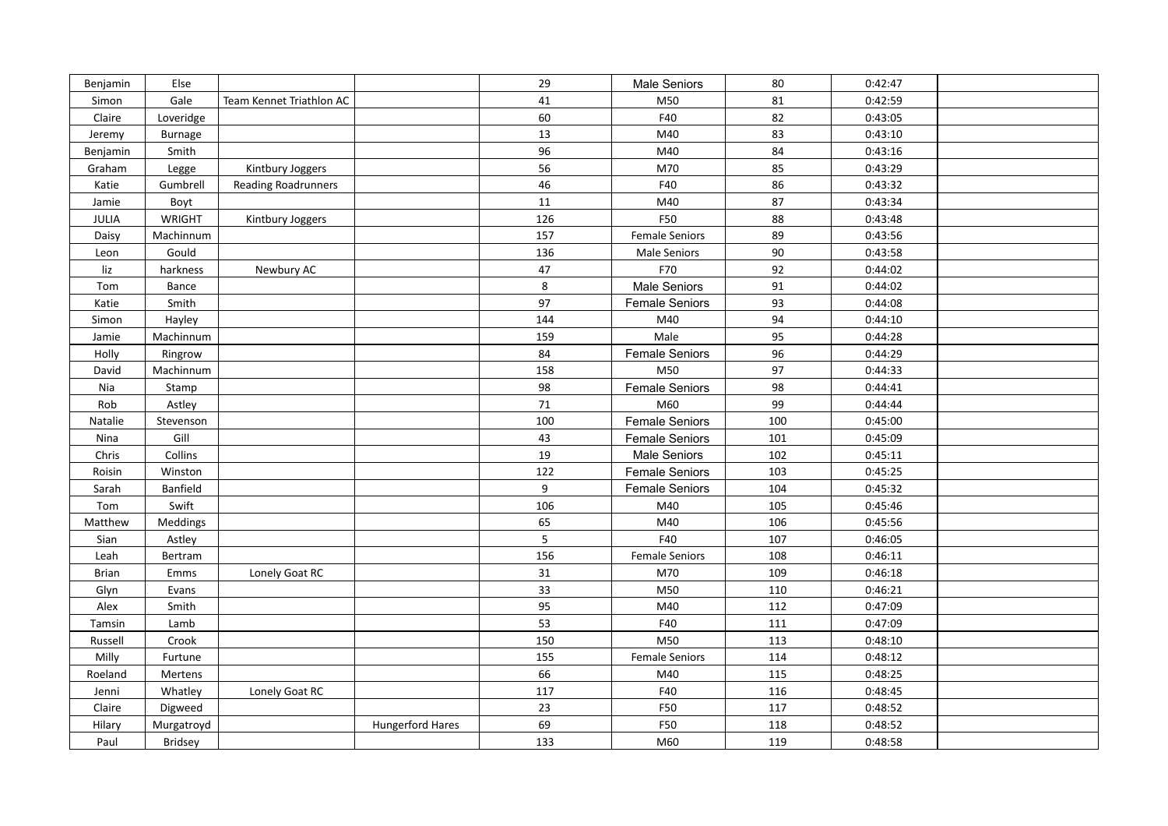| Benjamin     | Else       |                            |                  | 29               | Male Seniors          | 80  | 0:42:47 |  |
|--------------|------------|----------------------------|------------------|------------------|-----------------------|-----|---------|--|
| Simon        | Gale       | Team Kennet Triathlon AC   |                  | 41               | M50                   | 81  | 0:42:59 |  |
| Claire       | Loveridge  |                            |                  | 60               | F40                   | 82  | 0:43:05 |  |
| Jeremy       | Burnage    |                            |                  | 13               | M40                   | 83  | 0:43:10 |  |
| Benjamin     | Smith      |                            |                  | 96               | M40                   | 84  | 0:43:16 |  |
| Graham       | Legge      | Kintbury Joggers           |                  | 56               | M70                   | 85  | 0:43:29 |  |
| Katie        | Gumbrell   | <b>Reading Roadrunners</b> |                  | 46               | F40                   | 86  | 0:43:32 |  |
| Jamie        | Boyt       |                            |                  | 11               | M40                   | 87  | 0:43:34 |  |
| JULIA        | WRIGHT     | Kintbury Joggers           |                  | 126              | F50                   | 88  | 0:43:48 |  |
| Daisy        | Machinnum  |                            |                  | 157              | <b>Female Seniors</b> | 89  | 0:43:56 |  |
| Leon         | Gould      |                            |                  | 136              | <b>Male Seniors</b>   | 90  | 0:43:58 |  |
| liz          | harkness   | Newbury AC                 |                  | 47               | F70                   | 92  | 0:44:02 |  |
| Tom          | Bance      |                            |                  | 8                | Male Seniors          | 91  | 0:44:02 |  |
| Katie        | Smith      |                            |                  | 97               | <b>Female Seniors</b> | 93  | 0:44:08 |  |
| Simon        | Hayley     |                            |                  | 144              | M40                   | 94  | 0:44:10 |  |
| Jamie        | Machinnum  |                            |                  | 159              | Male                  | 95  | 0:44:28 |  |
| Holly        | Ringrow    |                            |                  | 84               | <b>Female Seniors</b> | 96  | 0:44:29 |  |
| David        | Machinnum  |                            |                  | 158              | M50                   | 97  | 0:44:33 |  |
| Nia          | Stamp      |                            |                  | 98               | <b>Female Seniors</b> | 98  | 0:44:41 |  |
| Rob          | Astley     |                            |                  | 71               | M60                   | 99  | 0:44:44 |  |
| Natalie      | Stevenson  |                            |                  | 100              | <b>Female Seniors</b> | 100 | 0:45:00 |  |
| Nina         | Gill       |                            |                  | 43               | <b>Female Seniors</b> | 101 | 0:45:09 |  |
| Chris        | Collins    |                            |                  | 19               | Male Seniors          | 102 | 0:45:11 |  |
| Roisin       | Winston    |                            |                  | 122              | <b>Female Seniors</b> | 103 | 0:45:25 |  |
| Sarah        | Banfield   |                            |                  | $\boldsymbol{9}$ | <b>Female Seniors</b> | 104 | 0:45:32 |  |
| Tom          | Swift      |                            |                  | 106              | M40                   | 105 | 0:45:46 |  |
| Matthew      | Meddings   |                            |                  | 65               | M40                   | 106 | 0:45:56 |  |
| Sian         | Astley     |                            |                  | $\sqrt{5}$       | F40                   | 107 | 0:46:05 |  |
| Leah         | Bertram    |                            |                  | 156              | <b>Female Seniors</b> | 108 | 0:46:11 |  |
| <b>Brian</b> | Emms       | Lonely Goat RC             |                  | 31               | M70                   | 109 | 0:46:18 |  |
| Glyn         | Evans      |                            |                  | 33               | M50                   | 110 | 0:46:21 |  |
| Alex         | Smith      |                            |                  | 95               | M40                   | 112 | 0:47:09 |  |
| Tamsin       | Lamb       |                            |                  | 53               | F40                   | 111 | 0:47:09 |  |
| Russell      | Crook      |                            |                  | 150              | M50                   | 113 | 0:48:10 |  |
| Milly        | Furtune    |                            |                  | 155              | <b>Female Seniors</b> | 114 | 0:48:12 |  |
| Roeland      | Mertens    |                            |                  | 66               | M40                   | 115 | 0:48:25 |  |
| Jenni        | Whatley    | Lonely Goat RC             |                  | 117              | F40                   | 116 | 0:48:45 |  |
| Claire       | Digweed    |                            |                  | 23               | F50                   | 117 | 0:48:52 |  |
| Hilary       | Murgatroyd |                            | Hungerford Hares | 69               | F50                   | 118 | 0:48:52 |  |
| Paul         | Bridsey    |                            |                  | 133              | M60                   | 119 | 0:48:58 |  |